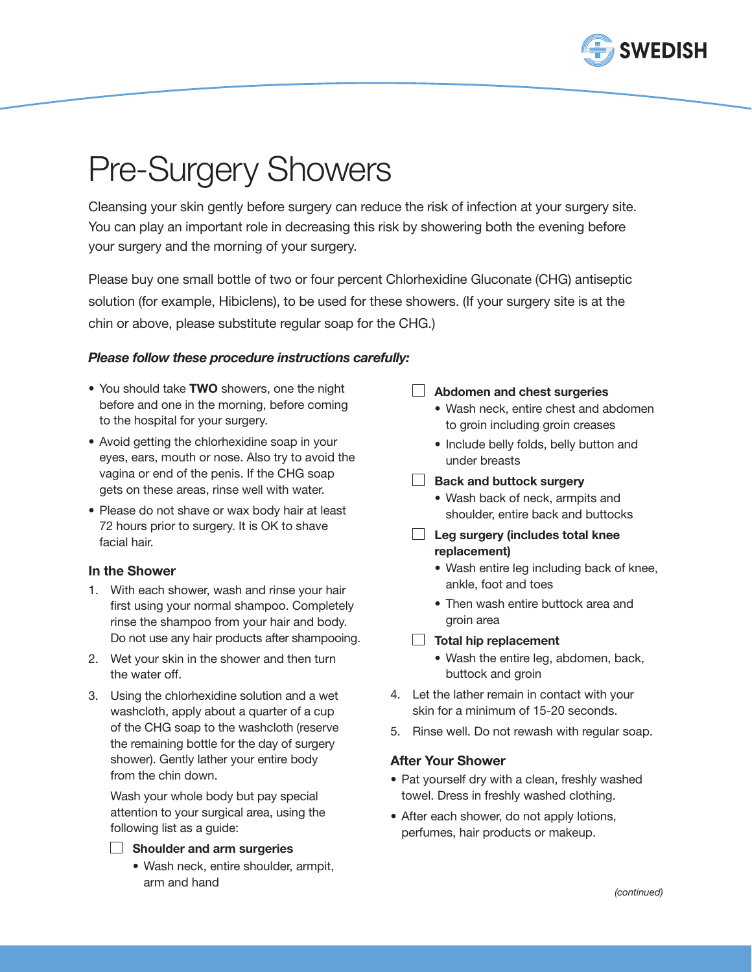

# Pre-Surgery Showers

Cleansing your skin gently before surgery can reduce the risk of infection at your surgery site. You can play an important role in decreasing this risk by showering both the evening before your surgery and the morning of your surgery.

Please buy one small bottle of two or four percent Chlorhexidine Gluconate (CHG) antiseptic solution (for example, Hibiclens), to be used for these showers. (If your surgery site is at the chin or above, please substitute regular soap for the CHG.)

## *Please follow these procedure instructions carefully:*

- You should take TWO showers, one the night before and one in the morning, before coming to the hospital for your surgery.
- Avoid getting the chlorhexidine soap in your eyes, ears, mouth or nose. Also try to avoid the vagina or end of the penis. If the CHG soap gets on these areas, rinse well with water.
- Please do not shave or wax body hair at least 72 hours prior to surgery. It is OK to shave facial hair.

### In the Shower

- 1. With each shower, wash and rinse your hair first using your normal shampoo. Completely rinse the shampoo from your hair and body. Do not use any hair products after shampooing.
- 2. Wet your skin in the shower and then turn the water off.
- 3. Using the chlorhexidine solution and a wet washcloth, apply about a quarter of a cup of the CHG soap to the washcloth (reserve the remaining bottle for the day of surgery shower). Gently lather your entire body from the chin down.

Wash your whole body but pay special attention to your surgical area, using the following list as a guide:

#### $\Box$  Shoulder and arm surgeries

• Wash neck, entire shoulder, armpit, arm and hand

### **Abdomen and chest surgeries**

- Wash neck, entire chest and abdomen to groin including groin creases
- • Include belly folds, belly button and under breasts

## Back and buttock surgery

- • Wash back of neck, armpits and shoulder, entire back and buttocks
- $\Box$  Leg surgery (includes total knee replacement)
	- Wash entire leg including back of knee, ankle, foot and toes
	- Then wash entire buttock area and groin area
- $\Box$  Total hip replacement
	- • Wash the entire leg, abdomen, back, buttock and groin
- 4. Let the lather remain in contact with your skin for a minimum of 15-20 seconds.
- 5. Rinse well. Do not rewash with regular soap.

### After Your Shower

- Pat yourself dry with a clean, freshly washed towel. Dress in freshly washed clothing.
- After each shower, do not apply lotions, perfumes, hair products or makeup.